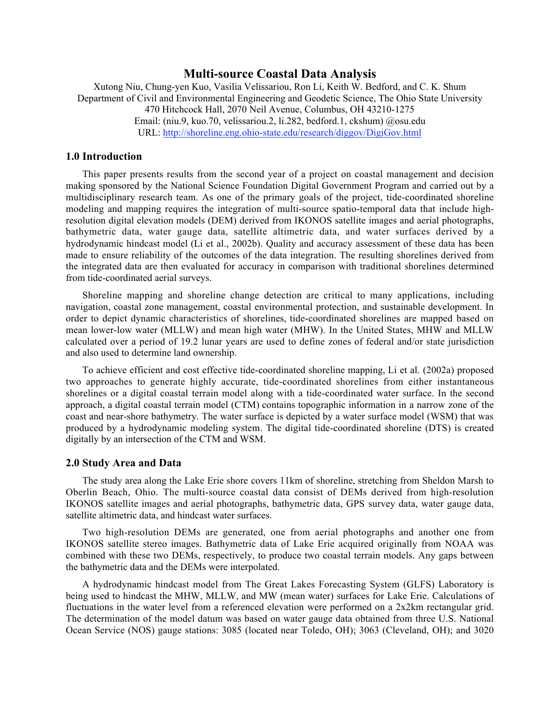# **Multi-source Coastal Data Analysis**

Xutong Niu, Chung-yen Kuo, Vasilia Velissariou, Ron Li, Keith W. Bedford, and C. K. Shum Department of Civil and Environmental Engineering and Geodetic Science, The Ohio State University 470 Hitchcock Hall, 2070 Neil Avenue, Columbus, OH 43210-1275 Email: (niu.9, kuo.70, velissariou.2, li.282, bedford.1, ckshum) @osu.edu URL: http://shoreline.eng.ohio-state.edu/research/diggov/DigiGov.html

### **1.0 Introduction**

This paper presents results from the second year of a project on coastal management and decision making sponsored by the National Science Foundation Digital Government Program and carried out by a multidisciplinary research team. As one of the primary goals of the project, tide-coordinated shoreline modeling and mapping requires the integration of multi-source spatio-temporal data that include highresolution digital elevation models (DEM) derived from IKONOS satellite images and aerial photographs, bathymetric data, water gauge data, satellite altimetric data, and water surfaces derived by a hydrodynamic hindcast model (Li et al., 2002b). Quality and accuracy assessment of these data has been made to ensure reliability of the outcomes of the data integration. The resulting shorelines derived from the integrated data are then evaluated for accuracy in comparison with traditional shorelines determined from tide-coordinated aerial surveys.

Shoreline mapping and shoreline change detection are critical to many applications, including navigation, coastal zone management, coastal environmental protection, and sustainable development. In order to depict dynamic characteristics of shorelines, tide-coordinated shorelines are mapped based on mean lower-low water (MLLW) and mean high water (MHW). In the United States, MHW and MLLW calculated over a period of 19.2 lunar years are used to define zones of federal and/or state jurisdiction and also used to determine land ownership.

To achieve efficient and cost effective tide-coordinated shoreline mapping, Li et al. (2002a) proposed two approaches to generate highly accurate, tide-coordinated shorelines from either instantaneous shorelines or a digital coastal terrain model along with a tide-coordinated water surface. In the second approach, a digital coastal terrain model (CTM) contains topographic information in a narrow zone of the coast and near-shore bathymetry. The water surface is depicted by a water surface model (WSM) that was produced by a hydrodynamic modeling system. The digital tide-coordinated shoreline (DTS) is created digitally by an intersection of the CTM and WSM.

#### **2.0 Study Area and Data**

The study area along the Lake Erie shore covers 11km of shoreline, stretching from Sheldon Marsh to Oberlin Beach, Ohio. The multi-source coastal data consist of DEMs derived from high-resolution IKONOS satellite images and aerial photographs, bathymetric data, GPS survey data, water gauge data, satellite altimetric data, and hindcast water surfaces.

Two high-resolution DEMs are generated, one from aerial photographs and another one from IKONOS satellite stereo images. Bathymetric data of Lake Erie acquired originally from NOAA was combined with these two DEMs, respectively, to produce two coastal terrain models. Any gaps between the bathymetric data and the DEMs were interpolated.

A hydrodynamic hindcast model from The Great Lakes Forecasting System (GLFS) Laboratory is being used to hindcast the MHW, MLLW, and MW (mean water) surfaces for Lake Erie. Calculations of fluctuations in the water level from a referenced elevation were performed on a 2x2km rectangular grid. The determination of the model datum was based on water gauge data obtained from three U.S. National Ocean Service (NOS) gauge stations: 3085 (located near Toledo, OH); 3063 (Cleveland, OH); and 3020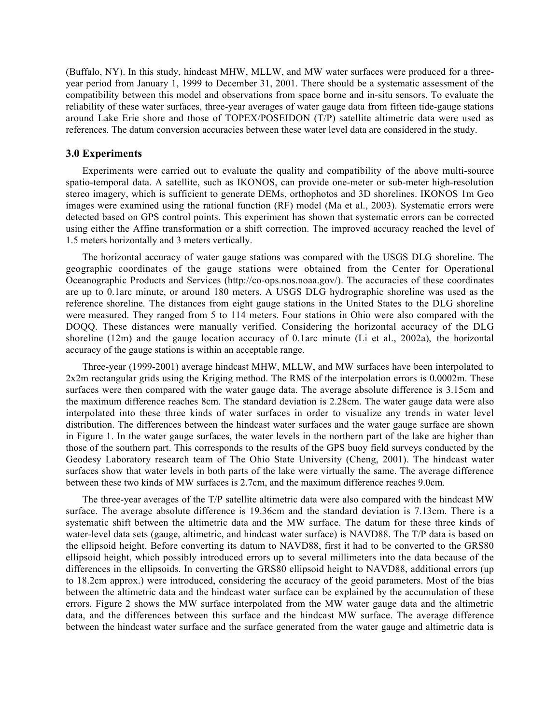(Buffalo, NY). In this study, hindcast MHW, MLLW, and MW water surfaces were produced for a threeyear period from January 1, 1999 to December 31, 2001. There should be a systematic assessment of the compatibility between this model and observations from space borne and in-situ sensors. To evaluate the reliability of these water surfaces, three-year averages of water gauge data from fifteen tide-gauge stations around Lake Erie shore and those of TOPEX/POSEIDON (T/P) satellite altimetric data were used as references. The datum conversion accuracies between these water level data are considered in the study.

#### **3.0 Experiments**

Experiments were carried out to evaluate the quality and compatibility of the above multi-source spatio-temporal data. A satellite, such as IKONOS, can provide one-meter or sub-meter high-resolution stereo imagery, which is sufficient to generate DEMs, orthophotos and 3D shorelines. IKONOS 1m Geo images were examined using the rational function (RF) model (Ma et al., 2003). Systematic errors were detected based on GPS control points. This experiment has shown that systematic errors can be corrected using either the Affine transformation or a shift correction. The improved accuracy reached the level of 1.5 meters horizontally and 3 meters vertically.

The horizontal accuracy of water gauge stations was compared with the USGS DLG shoreline. The geographic coordinates of the gauge stations were obtained from the Center for Operational Oceanographic Products and Services (http://co-ops.nos.noaa.gov/). The accuracies of these coordinates are up to 0.1arc minute, or around 180 meters. A USGS DLG hydrographic shoreline was used as the reference shoreline. The distances from eight gauge stations in the United States to the DLG shoreline were measured. They ranged from 5 to 114 meters. Four stations in Ohio were also compared with the DOQQ. These distances were manually verified. Considering the horizontal accuracy of the DLG shoreline (12m) and the gauge location accuracy of 0.1arc minute (Li et al., 2002a), the horizontal accuracy of the gauge stations is within an acceptable range.

Three-year (1999-2001) average hindcast MHW, MLLW, and MW surfaces have been interpolated to 2x2m rectangular grids using the Kriging method. The RMS of the interpolation errors is 0.0002m. These surfaces were then compared with the water gauge data. The average absolute difference is 3.15cm and the maximum difference reaches 8cm. The standard deviation is 2.28cm. The water gauge data were also interpolated into these three kinds of water surfaces in order to visualize any trends in water level distribution. The differences between the hindcast water surfaces and the water gauge surface are shown in Figure 1. In the water gauge surfaces, the water levels in the northern part of the lake are higher than those of the southern part. This corresponds to the results of the GPS buoy field surveys conducted by the Geodesy Laboratory research team of The Ohio State University (Cheng, 2001). The hindcast water surfaces show that water levels in both parts of the lake were virtually the same. The average difference between these two kinds of MW surfaces is 2.7cm, and the maximum difference reaches 9.0cm.

The three-year averages of the T/P satellite altimetric data were also compared with the hindcast MW surface. The average absolute difference is 19.36cm and the standard deviation is 7.13cm. There is a systematic shift between the altimetric data and the MW surface. The datum for these three kinds of water-level data sets (gauge, altimetric, and hindcast water surface) is NAVD88. The T/P data is based on the ellipsoid height. Before converting its datum to NAVD88, first it had to be converted to the GRS80 ellipsoid height, which possibly introduced errors up to several millimeters into the data because of the differences in the ellipsoids. In converting the GRS80 ellipsoid height to NAVD88, additional errors (up to 18.2cm approx.) were introduced, considering the accuracy of the geoid parameters. Most of the bias between the altimetric data and the hindcast water surface can be explained by the accumulation of these errors. Figure 2 shows the MW surface interpolated from the MW water gauge data and the altimetric data, and the differences between this surface and the hindcast MW surface. The average difference between the hindcast water surface and the surface generated from the water gauge and altimetric data is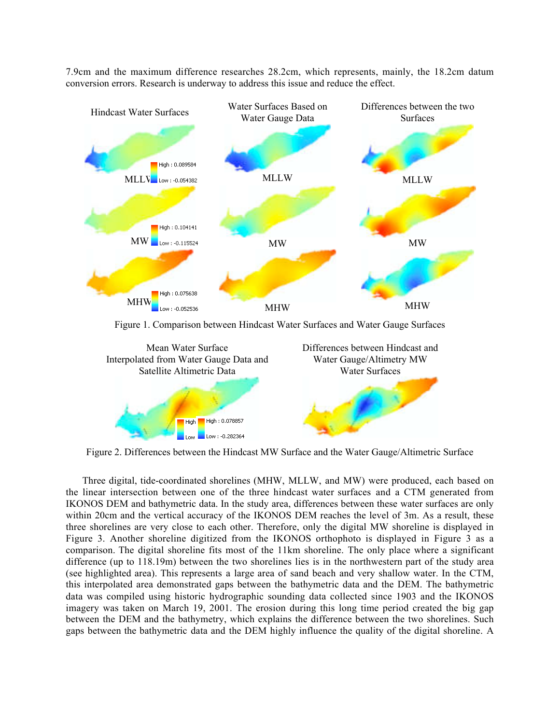

7.9cm and the maximum difference researches 28.2cm, which represents, mainly, the 18.2cm datum conversion errors. Research is underway to address this issue and reduce the effect.

Figure 1. Comparison between Hindcast Water Surfaces and Water Gauge Surfaces



Figure 2. Differences between the Hindcast MW Surface and the Water Gauge/Altimetric Surface

Three digital, tide-coordinated shorelines (MHW, MLLW, and MW) were produced, each based on the linear intersection between one of the three hindcast water surfaces and a CTM generated from IKONOS DEM and bathymetric data. In the study area, differences between these water surfaces are only within 20cm and the vertical accuracy of the IKONOS DEM reaches the level of 3m. As a result, these three shorelines are very close to each other. Therefore, only the digital MW shoreline is displayed in Figure 3. Another shoreline digitized from the IKONOS orthophoto is displayed in Figure 3 as a comparison. The digital shoreline fits most of the 11km shoreline. The only place where a significant difference (up to 118.19m) between the two shorelines lies is in the northwestern part of the study area (see highlighted area). This represents a large area of sand beach and very shallow water. In the CTM, this interpolated area demonstrated gaps between the bathymetric data and the DEM. The bathymetric data was compiled using historic hydrographic sounding data collected since 1903 and the IKONOS imagery was taken on March 19, 2001. The erosion during this long time period created the big gap between the DEM and the bathymetry, which explains the difference between the two shorelines. Such gaps between the bathymetric data and the DEM highly influence the quality of the digital shoreline. A